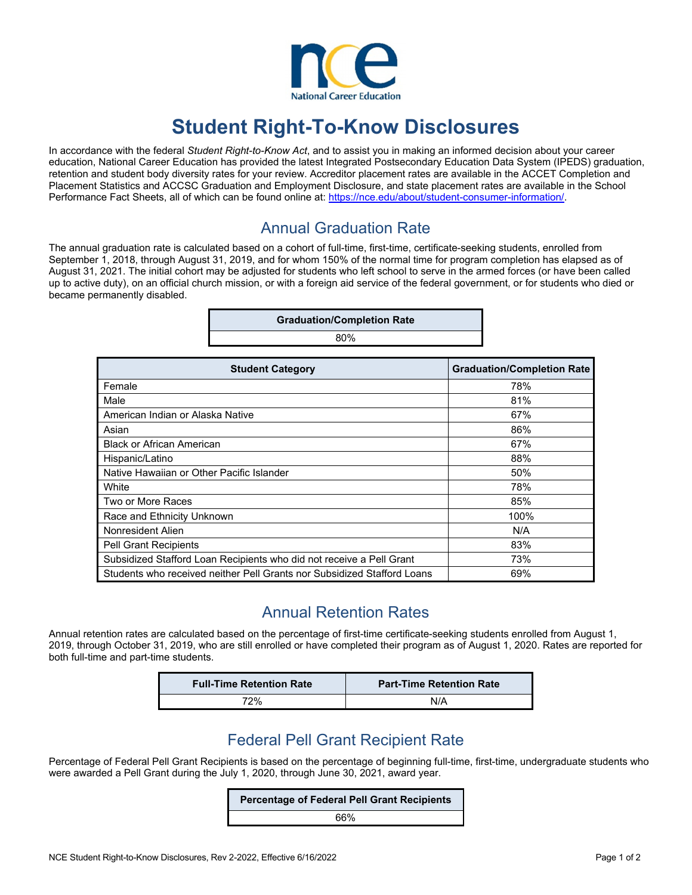

# **Student Right-To-Know Disclosures**

In accordance with the federal *Student Right-to-Know Act*, and to assist you in making an informed decision about your career education, National Career Education has provided the latest Integrated Postsecondary Education Data System (IPEDS) graduation, retention and student body diversity rates for your review. Accreditor placement rates are available in the ACCET Completion and Placement Statistics and ACCSC Graduation and Employment Disclosure, and state placement rates are available in the School Performance Fact Sheets, all of which can be found online at: https://nce.edu/about/student-consumer-information/.

#### Annual Graduation Rate

The annual graduation rate is calculated based on a cohort of full-time, first-time, certificate-seeking students, enrolled from September 1, 2018, through August 31, 2019, and for whom 150% of the normal time for program completion has elapsed as of August 31, 2021. The initial cohort may be adjusted for students who left school to serve in the armed forces (or have been called up to active duty), on an official church mission, or with a foreign aid service of the federal government, or for students who died or became permanently disabled.

| <b>Graduation/Completion Rate</b> |  |
|-----------------------------------|--|
| 80%                               |  |
|                                   |  |

| <b>Student Category</b>                                                 | <b>Graduation/Completion Rate</b> |
|-------------------------------------------------------------------------|-----------------------------------|
| Female                                                                  | 78%                               |
| Male                                                                    | 81%                               |
| American Indian or Alaska Native                                        | 67%                               |
| Asian                                                                   | 86%                               |
| <b>Black or African American</b>                                        | 67%                               |
| Hispanic/Latino                                                         | 88%                               |
| Native Hawaiian or Other Pacific Islander                               | 50%                               |
| White                                                                   | 78%                               |
| Two or More Races                                                       | 85%                               |
| Race and Ethnicity Unknown                                              | 100%                              |
| Nonresident Alien                                                       | N/A                               |
| <b>Pell Grant Recipients</b>                                            | 83%                               |
| Subsidized Stafford Loan Recipients who did not receive a Pell Grant    | 73%                               |
| Students who received neither Pell Grants nor Subsidized Stafford Loans | 69%                               |

#### Annual Retention Rates

Annual retention rates are calculated based on the percentage of first-time certificate-seeking students enrolled from August 1, 2019, through October 31, 2019, who are still enrolled or have completed their program as of August 1, 2020. Rates are reported for both full-time and part-time students.

| <b>Full-Time Retention Rate</b> | <b>Part-Time Retention Rate</b> |
|---------------------------------|---------------------------------|
| 72%                             | N/A                             |

### Federal Pell Grant Recipient Rate

Percentage of Federal Pell Grant Recipients is based on the percentage of beginning full-time, first-time, undergraduate students who were awarded a Pell Grant during the July 1, 2020, through June 30, 2021, award year.

**Percentage of Federal Pell Grant Recipients** 

66%